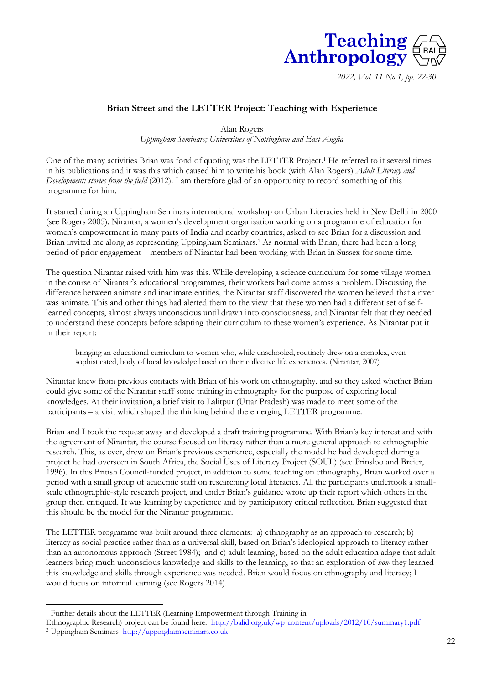

*2022, Vol. 11 No.1, pp. 22-30.*

### **Brian Street and the LETTER Project: Teaching with Experience**

Alan Rogers *Uppingham Seminars; Universities of Nottingham and East Anglia*

One of the many activities Brian was fond of quoting was the LETTER Project.<sup>1</sup> He referred to it several times in his publications and it was this which caused him to write his book (with Alan Rogers) *Adult Literacy and Development: stories from the field* (2012). I am therefore glad of an opportunity to record something of this programme for him.

It started during an Uppingham Seminars international workshop on Urban Literacies held in New Delhi in 2000 (see Rogers 2005). Nirantar, a women's development organisation working on a programme of education for women's empowerment in many parts of India and nearby countries, asked to see Brian for a discussion and Brian invited me along as representing Uppingham Seminars. <sup>2</sup> As normal with Brian, there had been a long period of prior engagement – members of Nirantar had been working with Brian in Sussex for some time.

The question Nirantar raised with him was this. While developing a science curriculum for some village women in the course of Nirantar's educational programmes, their workers had come across a problem. Discussing the difference between animate and inanimate entities, the Nirantar staff discovered the women believed that a river was animate. This and other things had alerted them to the view that these women had a different set of selflearned concepts, almost always unconscious until drawn into consciousness, and Nirantar felt that they needed to understand these concepts before adapting their curriculum to these women's experience. As Nirantar put it in their report:

bringing an educational curriculum to women who, while unschooled, routinely drew on a complex, even sophisticated, body of local knowledge based on their collective life experiences. (Nirantar, 2007)

Nirantar knew from previous contacts with Brian of his work on ethnography, and so they asked whether Brian could give some of the Nirantar staff some training in ethnography for the purpose of exploring local knowledges. At their invitation, a brief visit to Lalitpur (Uttar Pradesh) was made to meet some of the participants – a visit which shaped the thinking behind the emerging LETTER programme.

Brian and I took the request away and developed a draft training programme. With Brian's key interest and with the agreement of Nirantar, the course focused on literacy rather than a more general approach to ethnographic research. This, as ever, drew on Brian's previous experience, especially the model he had developed during a project he had overseen in South Africa, the Social Uses of Literacy Project (SOUL) (see Prinsloo and Breier, 1996). In this British Council-funded project, in addition to some teaching on ethnography, Brian worked over a period with a small group of academic staff on researching local literacies. All the participants undertook a smallscale ethnographic-style research project, and under Brian's guidance wrote up their report which others in the group then critiqued. It was learning by experience and by participatory critical reflection. Brian suggested that this should be the model for the Nirantar programme.

The LETTER programme was built around three elements: a) ethnography as an approach to research; b) literacy as social practice rather than as a universal skill, based on Brian's ideological approach to literacy rather than an autonomous approach (Street 1984); and c) adult learning, based on the adult education adage that adult learners bring much unconscious knowledge and skills to the learning, so that an exploration of *how* they learned this knowledge and skills through experience was needed. Brian would focus on ethnography and literacy; I would focus on informal learning (see Rogers 2014).

<sup>1</sup> Further details about the LETTER (Learning Empowerment through Training in

Ethnographic Research) project can be found here: <http://balid.org.uk/wp-content/uploads/2012/10/summary1.pdf>

<sup>2</sup> Uppingham Seminars [http://uppinghamseminars.co.uk](http://uppinghamseminars.co.uk/)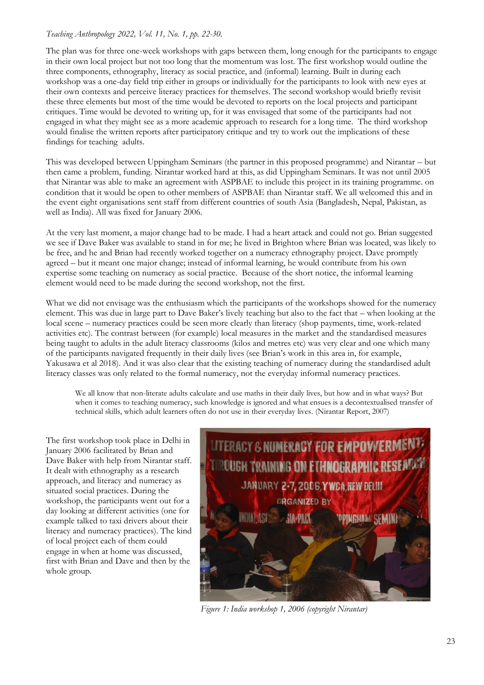The plan was for three one-week workshops with gaps between them, long enough for the participants to engage in their own local project but not too long that the momentum was lost. The first workshop would outline the three components, ethnography, literacy as social practice, and (informal) learning. Built in during each workshop was a one-day field trip either in groups or individually for the participants to look with new eyes at their own contexts and perceive literacy practices for themselves. The second workshop would briefly revisit these three elements but most of the time would be devoted to reports on the local projects and participant critiques. Time would be devoted to writing up, for it was envisaged that some of the participants had not engaged in what they might see as a more academic approach to research for a long time. The third workshop would finalise the written reports after participatory critique and try to work out the implications of these findings for teaching adults.

This was developed between Uppingham Seminars (the partner in this proposed programme) and Nirantar – but then came a problem, funding. Nirantar worked hard at this, as did Uppingham Seminars. It was not until 2005 that Nirantar was able to make an agreement with ASPBAE to include this project in its training programme. on condition that it would be open to other members of ASPBAE than Nirantar staff. We all welcomed this and in the event eight organisations sent staff from different countries of south Asia (Bangladesh, Nepal, Pakistan, as well as India). All was fixed for January 2006.

At the very last moment, a major change had to be made. I had a heart attack and could not go. Brian suggested we see if Dave Baker was available to stand in for me; he lived in Brighton where Brian was located, was likely to be free, and he and Brian had recently worked together on a numeracy ethnography project. Dave promptly agreed – but it meant one major change; instead of informal learning, he would contribute from his own expertise some teaching on numeracy as social practice. Because of the short notice, the informal learning element would need to be made during the second workshop, not the first.

What we did not envisage was the enthusiasm which the participants of the workshops showed for the numeracy element. This was due in large part to Dave Baker's lively teaching but also to the fact that – when looking at the local scene – numeracy practices could be seen more clearly than literacy (shop payments, time, work-related activities etc). The contrast between (for example) local measures in the market and the standardised measures being taught to adults in the adult literacy classrooms (kilos and metres etc) was very clear and one which many of the participants navigated frequently in their daily lives (see Brian's work in this area in, for example, Yakusawa et al 2018). And it was also clear that the existing teaching of numeracy during the standardised adult literacy classes was only related to the formal numeracy, not the everyday informal numeracy practices.

We all know that non-literate adults calculate and use maths in their daily lives, but how and in what ways? But when it comes to teaching numeracy, such knowledge is ignored and what ensues is a decontextualised transfer of technical skills, which adult learners often do not use in their everyday lives. (Nirantar Report, 2007)

The first workshop took place in Delhi in January 2006 facilitated by Brian and Dave Baker with help from Nirantar staff. It dealt with ethnography as a research approach, and literacy and numeracy as situated social practices. During the workshop, the participants went out for a day looking at different activities (one for example talked to taxi drivers about their literacy and numeracy practices). The kind of local project each of them could engage in when at home was discussed, first with Brian and Dave and then by the whole group.



*Figure 1: India workshop 1, 2006 (copyright Nirantar)*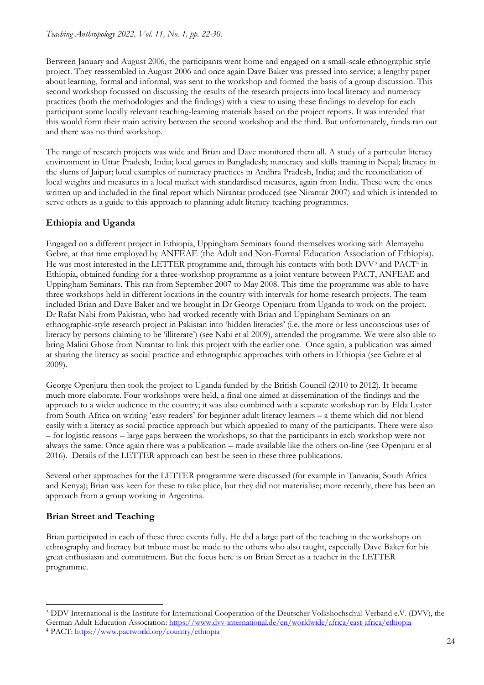Between January and August 2006, the participants went home and engaged on a small-scale ethnographic style project. They reassembled in August 2006 and once again Dave Baker was pressed into service; a lengthy paper about learning, formal and informal, was sent to the workshop and formed the basis of a group discussion. This second workshop focussed on discussing the results of the research projects into local literacy and numeracy practices (both the methodologies and the findings) with a view to using these findings to develop for each participant some locally relevant teaching-learning materials based on the project reports. It was intended that this would form their main activity between the second workshop and the third. But unfortunately, funds ran out and there was no third workshop.

The range of research projects was wide and Brian and Dave monitored them all. A study of a particular literacy environment in Uttar Pradesh, India; local games in Bangladesh; numeracy and skills training in Nepal; literacy in the slums of Jaipur; local examples of numeracy practices in Andhra Pradesh, India; and the reconciliation of local weights and measures in a local market with standardised measures, again from India. These were the ones written up and included in the final report which Nirantar produced (see Nirantar 2007) and which is intended to serve others as a guide to this approach to planning adult literacy teaching programmes.

# **Ethiopia and Uganda**

Engaged on a different project in Ethiopia, Uppingham Seminars found themselves working with Alemayehu Gebre, at that time employed by ANFEAE (the Adult and Non-Formal Education Association of Ethiopia). He was most interested in the LETTER programme and, through his contacts with both DVV<sup>3</sup> and PACT<sup>4</sup> in Ethiopia, obtained funding for a three-workshop programme as a joint venture between PACT, ANFEAE and Uppingham Seminars. This ran from September 2007 to May 2008. This time the programme was able to have three workshops held in different locations in the country with intervals for home research projects. The team included Brian and Dave Baker and we brought in Dr George Openjuru from Uganda to work on the project. Dr Rafat Nabi from Pakistan, who had worked recently with Brian and Uppingham Seminars on an ethnographic-style research project in Pakistan into 'hidden literacies' (i.e. the more or less unconscious uses of literacy by persons claiming to be 'illiterate') (see Nabi et al 2009), attended the programme. We were also able to bring Malini Ghose from Nirantar to link this project with the earlier one. Once again, a publication was aimed at sharing the literacy as social practice and ethnographic approaches with others in Ethiopia (see Gebre et al 2009).

George Openjuru then took the project to Uganda funded by the British Council (2010 to 2012). It became much more elaborate. Four workshops were held, a final one aimed at dissemination of the findings and the approach to a wider audience in the country; it was also combined with a separate workshop run by Elda Lyster from South Africa on writing 'easy readers' for beginner adult literacy learners – a theme which did not blend easily with a literacy as social practice approach but which appealed to many of the participants. There were also – for logistic reasons – large gaps between the workshops, so that the participants in each workshop were not always the same. Once again there was a publication – made available like the others on-line (see Openjuru et al 2016). Details of the LETTER approach can best be seen in these three publications.

Several other approaches for the LETTER programme were discussed (for example in Tanzania, South Africa and Kenya); Brian was keen for these to take place, but they did not materialise; more recently, there has been an approach from a group working in Argentina.

## **Brian Street and Teaching**

Brian participated in each of these three events fully. He did a large part of the teaching in the workshops on ethnography and literacy but tribute must be made to the others who also taught, especially Dave Baker for his great enthusiasm and commitment. But the focus here is on Brian Street as a teacher in the LETTER programme.

<sup>3</sup> DDV International is the Institute for International Cooperation of the Deutscher Volkshochschul-Verband e.V. (DVV), the German Adult Education Association:<https://www.dvv-international.de/en/worldwide/africa/east-africa/ethiopia> <sup>4</sup> PACT:<https://www.pactworld.org/country/ethiopia>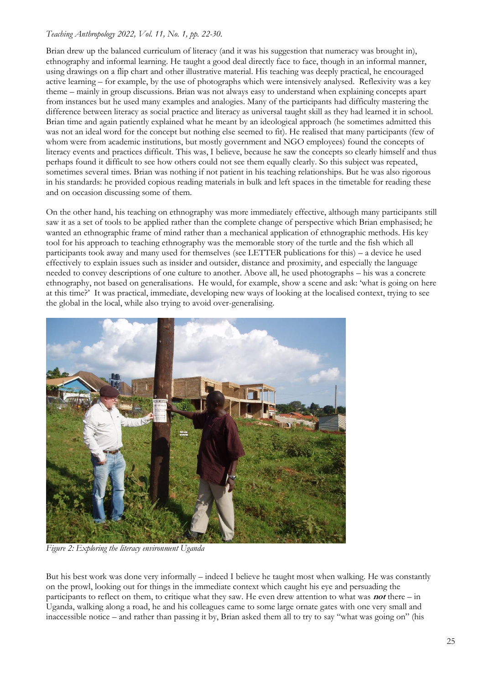Brian drew up the balanced curriculum of literacy (and it was his suggestion that numeracy was brought in), ethnography and informal learning. He taught a good deal directly face to face, though in an informal manner, using drawings on a flip chart and other illustrative material. His teaching was deeply practical, he encouraged active learning – for example, by the use of photographs which were intensively analysed. Reflexivity was a key theme – mainly in group discussions. Brian was not always easy to understand when explaining concepts apart from instances but he used many examples and analogies. Many of the participants had difficulty mastering the difference between literacy as social practice and literacy as universal taught skill as they had learned it in school. Brian time and again patiently explained what he meant by an ideological approach (he sometimes admitted this was not an ideal word for the concept but nothing else seemed to fit). He realised that many participants (few of whom were from academic institutions, but mostly government and NGO employees) found the concepts of literacy events and practices difficult. This was, I believe, because he saw the concepts so clearly himself and thus perhaps found it difficult to see how others could not see them equally clearly. So this subject was repeated, sometimes several times. Brian was nothing if not patient in his teaching relationships. But he was also rigorous in his standards: he provided copious reading materials in bulk and left spaces in the timetable for reading these and on occasion discussing some of them.

On the other hand, his teaching on ethnography was more immediately effective, although many participants still saw it as a set of tools to be applied rather than the complete change of perspective which Brian emphasised; he wanted an ethnographic frame of mind rather than a mechanical application of ethnographic methods. His key tool for his approach to teaching ethnography was the memorable story of the turtle and the fish which all participants took away and many used for themselves (see LETTER publications for this) – a device he used effectively to explain issues such as insider and outsider, distance and proximity, and especially the language needed to convey descriptions of one culture to another. Above all, he used photographs – his was a concrete ethnography, not based on generalisations. He would, for example, show a scene and ask: 'what is going on here at this time?' It was practical, immediate, developing new ways of looking at the localised context, trying to see the global in the local, while also trying to avoid over-generalising.



*Figure 2: Exploring the literacy environment Uganda*

But his best work was done very informally – indeed I believe he taught most when walking. He was constantly on the prowl, looking out for things in the immediate context which caught his eye and persuading the participants to reflect on them, to critique what they saw. He even drew attention to what was **not** there – in Uganda, walking along a road, he and his colleagues came to some large ornate gates with one very small and inaccessible notice – and rather than passing it by, Brian asked them all to try to say "what was going on" (his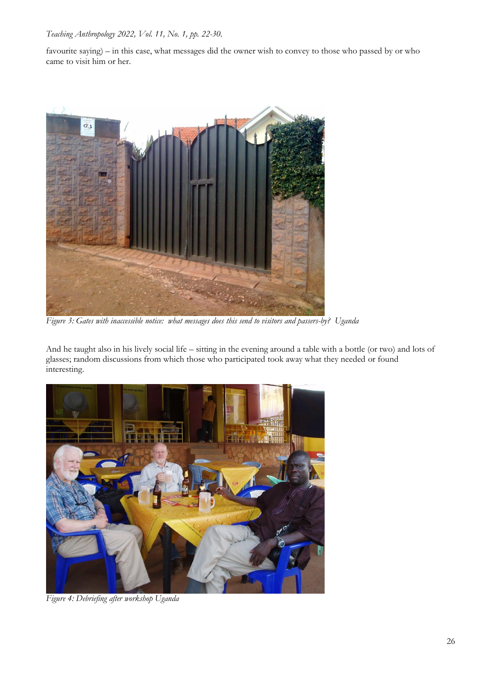favourite saying) – in this case, what messages did the owner wish to convey to those who passed by or who came to visit him or her.



*Figure 3: Gates with inaccessible notice: what messages does this send to visitors and passers-by? Uganda*

And he taught also in his lively social life – sitting in the evening around a table with a bottle (or two) and lots of glasses; random discussions from which those who participated took away what they needed or found interesting.



*Figure 4: Debriefing after workshop Uganda*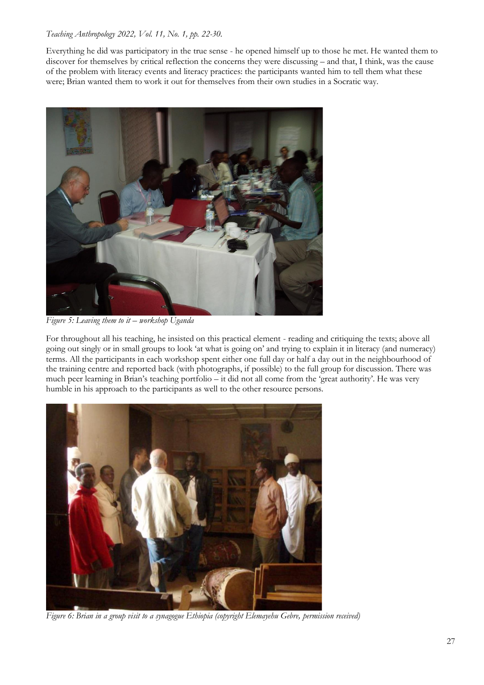Everything he did was participatory in the true sense - he opened himself up to those he met. He wanted them to discover for themselves by critical reflection the concerns they were discussing – and that, I think, was the cause of the problem with literacy events and literacy practices: the participants wanted him to tell them what these were; Brian wanted them to work it out for themselves from their own studies in a Socratic way.



*Figure 5: Leaving them to it – workshop Uganda*

For throughout all his teaching, he insisted on this practical element - reading and critiquing the texts; above all going out singly or in small groups to look 'at what is going on' and trying to explain it in literacy (and numeracy) terms. All the participants in each workshop spent either one full day or half a day out in the neighbourhood of the training centre and reported back (with photographs, if possible) to the full group for discussion. There was much peer learning in Brian's teaching portfolio – it did not all come from the 'great authority'. He was very humble in his approach to the participants as well to the other resource persons.



*Figure 6: Brian in a group visit to a synagogue Ethiopia (copyright Elemayehu Gebre, permission received)*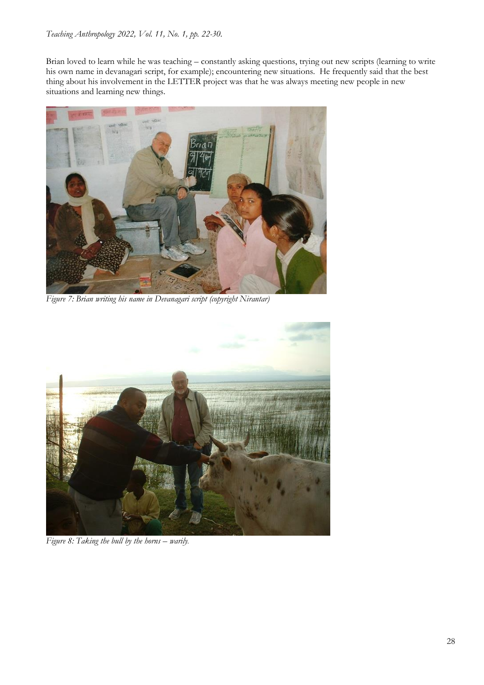Brian loved to learn while he was teaching – constantly asking questions, trying out new scripts (learning to write his own name in devanagari script, for example); encountering new situations. He frequently said that the best thing about his involvement in the LETTER project was that he was always meeting new people in new situations and learning new things.



*Figure 7: Brian writing his name in Devanagari script (copyright Nirantar)*



*Figure 8: Taking the bull by the horns – warily.*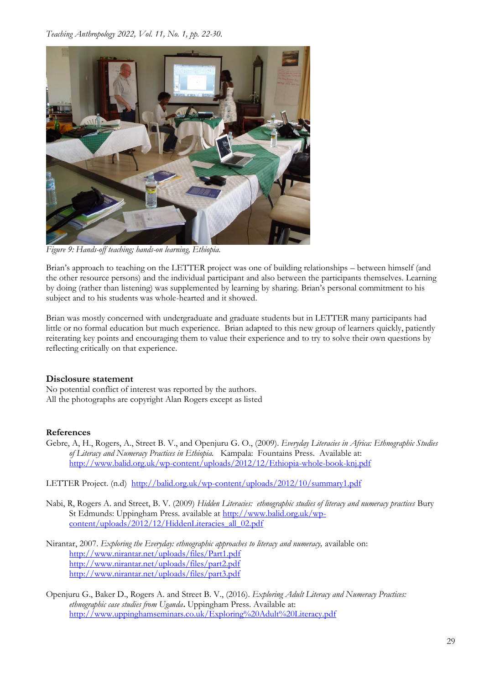

*Figure 9: Hands-off teaching; hands-on learning, Ethiopia.*

Brian's approach to teaching on the LETTER project was one of building relationships – between himself (and the other resource persons) and the individual participant and also between the participants themselves. Learning by doing (rather than listening) was supplemented by learning by sharing. Brian's personal commitment to his subject and to his students was whole-hearted and it showed.

Brian was mostly concerned with undergraduate and graduate students but in LETTER many participants had little or no formal education but much experience. Brian adapted to this new group of learners quickly, patiently reiterating key points and encouraging them to value their experience and to try to solve their own questions by reflecting critically on that experience.

#### **Disclosure statement**

No potential conflict of interest was reported by the authors. All the photographs are copyright Alan Rogers except as listed

#### **References**

- Gebre, A, H., Rogers, A., Street B. V., and Openjuru G. O., (2009). *Everyday Literacies in Africa: Ethnographic Studies of Literacy and Numeracy Practices in Ethiopia.* Kampala: Fountains Press. Available at: <http://www.balid.org.uk/wp-content/uploads/2012/12/Ethiopia-whole-book-knj.pdf>
- LETTER Project. (n.d) <http://balid.org.uk/wp-content/uploads/2012/10/summary1.pdf>
- Nabi, R, Rogers A. and Street, B. V. (2009) *Hidden Literacies: ethnographic studies of literacy and numeracy practices* Bury St Edmunds: Uppingham Press. available at [http://www.balid.org.uk/wp](http://www.balid.org.uk/wp-content/uploads/2012/12/HiddenLiteracies_all_02.pdf)[content/uploads/2012/12/HiddenLiteracies\\_all\\_02.pdf](http://www.balid.org.uk/wp-content/uploads/2012/12/HiddenLiteracies_all_02.pdf)
- Nirantar, 2007. *Exploring the Everyday: ethnographic approaches to literacy and numeracy,* available on: <http://www.nirantar.net/uploads/files/Part1.pdf> <http://www.nirantar.net/uploads/files/part2.pdf> <http://www.nirantar.net/uploads/files/part3.pdf>
- Openjuru G., Baker D., Rogers A. and Street B. V., (2016). *Exploring Adult Literacy and Numeracy Practices: ethnographic case studies from Uganda***.** Uppingham Press. Available at: <http://www.uppinghamseminars.co.uk/Exploring%20Adult%20Literacy.pdf>